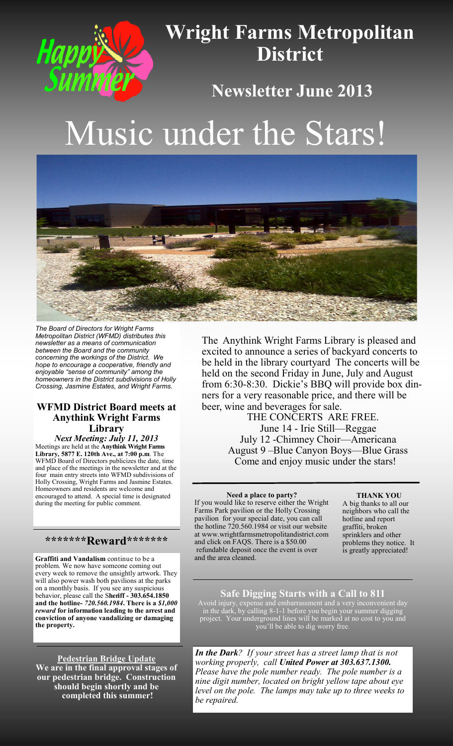

# **Wright Farms Metropolitan District**

# **Newsletter June 2013**

# Music under the Stars!



*The Board of Directors for Wright Farms Metropolitan District (WFMD) distributes this newsletter as a means of communication between the Board and the community concerning the workings of the District. We hope to encourage a cooperative, friendly and enjoyable "sense of community" among the homeowners in the District subdivisions of Holly Crossing, Jasmine Estates, and Wright Farms.*

#### **WFMD District Board meets at Anythink Wright Farms Library**

*Next Meeting: July 11, 2013* Meetings are held at the **Anythink Wright Farms Library***,* **5877 E. 120th Ave., at 7:00 p.m**. The WFMD Board of Directors publicizes the date, time and place of the meetings in the newsletter and at the four main entry streets into WFMD subdivisions of Holly Crossing, Wright Farms and Jasmine Estates. Homeowners and residents are welcome and encouraged to attend. A special time is designated during the meeting for public comment.

#### **\*\*\*\*\*\*\*Reward\*\*\*\*\*\*\***

**Graffiti and Vandalism** continue to be a problem. We now have someone coming out every week to remove the unsightly artwork. They will also power wash both pavilions at the parks on a monthly basis. If you see any suspicious behavior, please call the S**heriff - 303.654.1850 and the hotline-** *720.560.1984***. There is a** *\$1,000 reward* **for information leading to the arrest and conviction of anyone vandalizing or damaging the property.** 

**Pedestrian Bridge Update We are in the final approval stages of our pedestrian bridge. Construction should begin shortly and be completed this summer!** 

The Anythink Wright Farms Library is pleased and excited to announce a series of backyard concerts to be held in the library courtyard The concerts will be held on the second Friday in June, July and August from 6:30-8:30. Dickie's BBQ will provide box dinners for a very reasonable price, and there will be beer, wine and beverages for sale.

> THE CONCERTS ARE FREE. June 14 - Irie Still—Reggae July 12 -Chimney Choir—Americana August 9 –Blue Canyon Boys—Blue Grass Come and enjoy music under the stars!

**Need a place to party?** If you would like to reserve either the Wright Farms Park pavilion or the Holly Crossing pavilion for your special date, you can call the hotline 720.560.1984 or visit our website at www.wrightfarmsmetropolitandistrict.com and click on FAQS. There is a \$50.00 refundable deposit once the event is over and the area cleaned.

**THANK YOU**

A big thanks to all our neighbors who call the hotline and report graffiti, broken sprinklers and other problems they notice. It is greatly appreciated!

#### **Safe Digging Starts with a Call to 811**

Avoid injury, expense and embarrassment and a very inconvenient day in the dark, by calling 8-1-1 before you begin your summer digging project. Your underground lines will be marked at no cost to you and you'll be able to dig worry free.

*In the Dark? If your street has a street lamp that is not working properly, call United Power at 303.637.1300. Please have the pole number ready. The pole number is a nine digit number, located on bright yellow tape about eye level on the pole. The lamps may take up to three weeks to be repaired.*